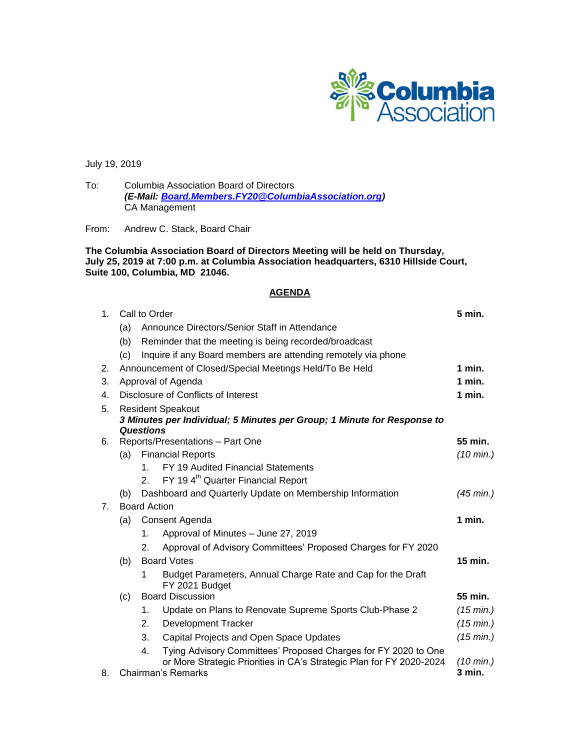

July 19, 2019

To: Columbia Association Board of Directors *(E-Mail: [Board.Members.FY20@ColumbiaAssociation.org\)](mailto:Board.Members.FY20@ColumbiaAssociation.org)* CA Management

From: Andrew C. Stack, Board Chair

**The Columbia Association Board of Directors Meeting will be held on Thursday, July 25, 2019 at 7:00 p.m. at Columbia Association headquarters, 6310 Hillside Court, Suite 100, Columbia, MD 21046.**

# **AGENDA**

| 1. | Call to Order                                                                          |                                                                   |                                                                                                                                        | 5 min.              |  |
|----|----------------------------------------------------------------------------------------|-------------------------------------------------------------------|----------------------------------------------------------------------------------------------------------------------------------------|---------------------|--|
|    | Announce Directors/Senior Staff in Attendance<br>(a)                                   |                                                                   |                                                                                                                                        |                     |  |
|    | (b)                                                                                    |                                                                   | Reminder that the meeting is being recorded/broadcast                                                                                  |                     |  |
|    | (c)                                                                                    |                                                                   | Inquire if any Board members are attending remotely via phone                                                                          |                     |  |
| 2. |                                                                                        | Announcement of Closed/Special Meetings Held/To Be Held<br>1 min. |                                                                                                                                        |                     |  |
| 3. | Approval of Agenda                                                                     |                                                                   |                                                                                                                                        | 1 min.              |  |
| 4. | Disclosure of Conflicts of Interest                                                    |                                                                   |                                                                                                                                        | 1 min.              |  |
| 5. | <b>Resident Speakout</b>                                                               |                                                                   |                                                                                                                                        |                     |  |
|    | 3 Minutes per Individual; 5 Minutes per Group; 1 Minute for Response to                |                                                                   |                                                                                                                                        |                     |  |
| 6. | <b>Questions</b>                                                                       |                                                                   |                                                                                                                                        |                     |  |
|    |                                                                                        |                                                                   | Reports/Presentations - Part One                                                                                                       | 55 min.             |  |
|    | (a)                                                                                    |                                                                   | <b>Financial Reports</b>                                                                                                               | $(10 \text{ min.})$ |  |
|    |                                                                                        | $1_{-}$<br>2 <sub>1</sub>                                         | FY 19 Audited Financial Statements                                                                                                     |                     |  |
|    |                                                                                        |                                                                   | FY 194 <sup>th</sup> Quarter Financial Report                                                                                          | $(45 \text{ min.})$ |  |
| 7. | Dashboard and Quarterly Update on Membership Information<br>(b)<br><b>Board Action</b> |                                                                   |                                                                                                                                        |                     |  |
|    | 1 min.                                                                                 |                                                                   |                                                                                                                                        |                     |  |
|    | (a)                                                                                    | Consent Agenda                                                    |                                                                                                                                        |                     |  |
|    |                                                                                        | 1.                                                                | Approval of Minutes - June 27, 2019                                                                                                    |                     |  |
|    |                                                                                        | 2.                                                                | Approval of Advisory Committees' Proposed Charges for FY 2020                                                                          |                     |  |
|    | (b)                                                                                    | <b>Board Votes</b>                                                |                                                                                                                                        | 15 min.             |  |
|    |                                                                                        | 1                                                                 | Budget Parameters, Annual Charge Rate and Cap for the Draft<br>FY 2021 Budget                                                          |                     |  |
|    | <b>Board Discussion</b><br>(c)                                                         |                                                                   | 55 min.                                                                                                                                |                     |  |
|    |                                                                                        | 1.                                                                | Update on Plans to Renovate Supreme Sports Club-Phase 2                                                                                | $(15 \text{ min.})$ |  |
|    |                                                                                        | 2.                                                                | <b>Development Tracker</b>                                                                                                             | $(15 \text{ min.})$ |  |
|    |                                                                                        | 3.                                                                | Capital Projects and Open Space Updates                                                                                                | $(15 \text{ min.})$ |  |
|    |                                                                                        | 4.                                                                | Tying Advisory Committees' Proposed Charges for FY 2020 to One<br>or More Strategic Priorities in CA's Strategic Plan for FY 2020-2024 | $(10 \text{ min.})$ |  |
| 8. | Chairman's Remarks                                                                     |                                                                   | 3 min.                                                                                                                                 |                     |  |